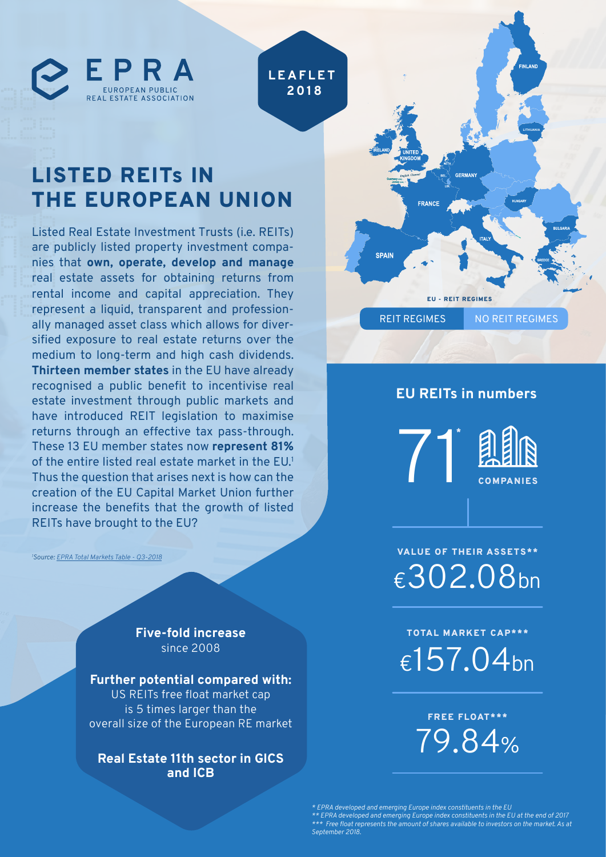

# LISTED REITs IN THE EUROPEAN UNION

Listed Real Estate Investment Trusts (i.e. REITs) are publicly listed property investment companies that **own, operate, develop and manage** real estate assets for obtaining returns from rental income and capital appreciation. They represent a liquid, transparent and professionally managed asset class which allows for diversified exposure to real estate returns over the medium to long-term and high cash dividends. **Thirteen member states** in the EU have already recognised a public benefit to incentivise real estate investment through public markets and have introduced REIT legislation to maximise returns through an effective tax pass-through. These 13 EU member states now **represent 81%**  of the entire listed real estate market in the EU.<sup>1</sup> Thus the question that arises next is how can the creation of the EU Capital Market Union further increase the benefits that the growth of listed REITs have brought to the EU?

*1 Source: [EPRA Total Markets Table - Q3-2018](http://prodapp.epra.com/media/EPRA_Total_Markets_Table_-_Q3-2018_-_September_2018_1541412112960.pdf)*

**Five-fold increase**  since 2008

**Further potential compared with:** US REITs free float market cap is 5 times larger than the overall size of the European RE market

**Real Estate 11th sector in GICS and ICB**



#### **EU REITs in numbers**

71 COMPANIES \*



€302.08bn VALUE OF THEIR ASSETS\*\*

€157.04bn TOTAL MARKET CAP\*\*\*

> 79.84% FREE FLOAT\*\*\*

*\* EPRA developed and emerging Europe index constituents in the EU \*\* EPRA developed and emerging Europe index constituents in the EU at the end of 2017 \*\*\* Free float represents the amount of shares available to investors on the market. As at September 2018.*